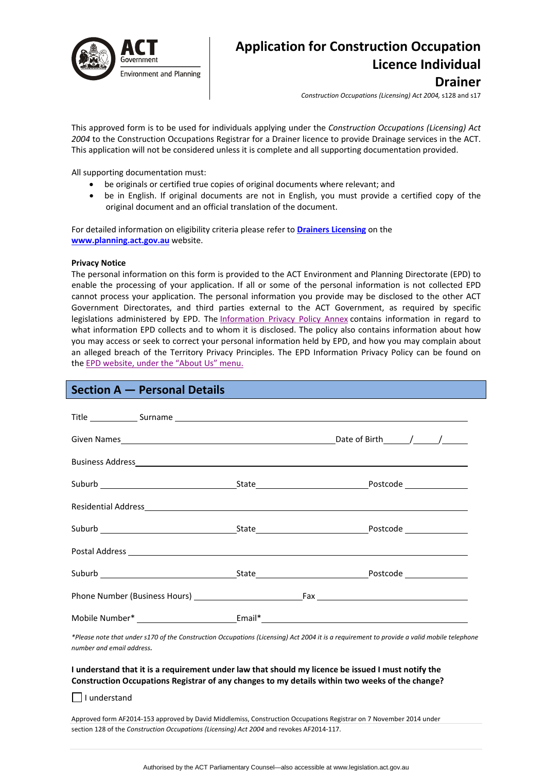

# **Application for Construction Occupation Licence Individual Drainer**

*Construction Occupations (Licensing) Act 2004,* s128 and s17

This approved form is to be used for individuals applying under the *Construction Occupations (Licensing) Act 2004* to the Construction Occupations Registrar for a Drainer licence to provide Drainage services in the ACT. This application will not be considered unless it is complete and all supporting documentation provided.

All supporting documentation must:

- be originals or certified true copies of original documents where relevant; and
- be in English. If original documents are not in English, you must provide a certified copy of the original document and an official translation of the document.

For detailed information on eligibility criteria please refer to **Drainers [Licensing](http://www.actpla.act.gov.au/topics/hiring_licensing/licence_registration/plumbers_drainers)** on the **[www.planning.act.gov.au](http://www.planning.act.gov.au/)** website.

#### **Privacy Notice**

The personal information on this form is provided to the ACT Environment and Planning Directorate (EPD) to enable the processing of your application. If all or some of the personal information is not collected EPD cannot process your application. The personal information you provide may be disclosed to the other ACT Government Directorates, and third parties external to the ACT Government, as required by specific legislations administered by EPD. The [Information](http://www.environment.act.gov.au/__data/assets/pdf_file/0006/633741/Information-Privacy-Policy-Annex.pdf) Privacy Policy Annex contains information in regard to what information EPD collects and to whom it is disclosed. The policy also contains information about how you may access or seek to correct your personal information held by EPD, and how you may complain about an alleged breach of the Territory Privacy Principles. The EPD Information Privacy Policy can be found on the EPD [website,](http://www.environment.act.gov.au/about/privacy) under the "About Us" menu.

# **Section A — Personal Details**

| Residential Address experience and the contract of the contract of the contract of the contract of the contract of the contract of the contract of the contract of the contract of the contract of the contract of the contrac |  |  |
|--------------------------------------------------------------------------------------------------------------------------------------------------------------------------------------------------------------------------------|--|--|
|                                                                                                                                                                                                                                |  |  |
|                                                                                                                                                                                                                                |  |  |
|                                                                                                                                                                                                                                |  |  |
|                                                                                                                                                                                                                                |  |  |
|                                                                                                                                                                                                                                |  |  |

\*Please note that under s170 of the Construction Occupations (Licensing) Act 2004 it is a requirement to provide a valid mobile telephone *number and email address.* 

#### I understand that it is a requirement under law that should my licence be issued I must notify the **Construction Occupations Registrar of any changes to my details within two weeks of the change?**

 $\Box$  I understand

Approved form AF2014‐153 approved by David Middlemiss, Construction Occupations Registrar on 7 November 2014 under section 128 of the *Construction Occupations (Licensing) Act 2004* and revokes AF2014‐117.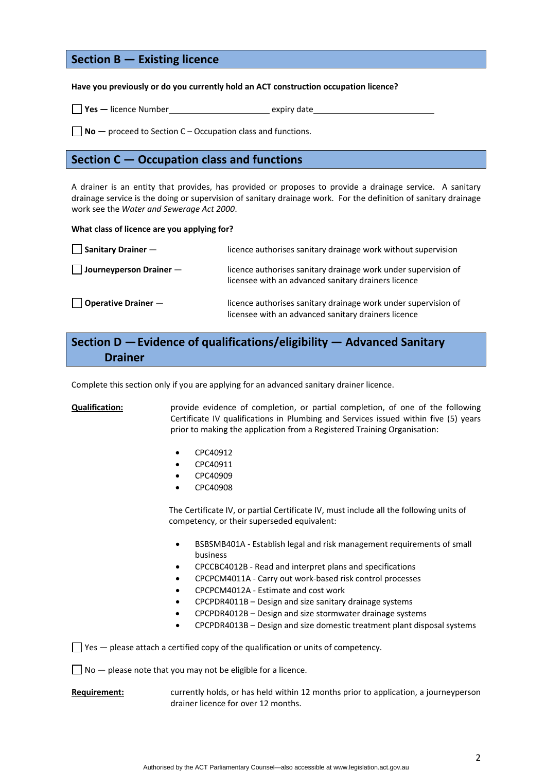# **Section B — Existing licence**

**Have you previously or do you currently hold an ACT construction occupation licence?**

□ Yes – licence Number **a** expiry date

**No —** proceed to Section C – Occupation class and functions.

## **Section C — Occupation class and functions**

A drainer is an entity that provides, has provided or proposes to provide a drainage service. A sanitary drainage service is the doing or supervision of sanitary drainage work. For the definition of sanitary drainage work see the *Water and Sewerage Act 2000*.

#### **What class of licence are you applying for?**

| $\Box$ Sanitary Drainer $-$         | licence authorises sanitary drainage work without supervision                                                         |
|-------------------------------------|-----------------------------------------------------------------------------------------------------------------------|
| $\Box$ Journeyperson Drainer $\Box$ | licence authorises sanitary drainage work under supervision of<br>licensee with an advanced sanitary drainers licence |
| $\vert$   Operative Drainer $-$     | licence authorises sanitary drainage work under supervision of<br>licensee with an advanced sanitary drainers licence |

# **Section D —Evidence of qualifications/eligibility — Advanced Sanitary Drainer**

Complete this section only if you are applying for an advanced sanitary drainer licence.

**Qualification:** provide evidence of completion, or partial completion, of one of the following Certificate IV qualifications in Plumbing and Services issued within five (5) years prior to making the application from a Registered Training Organisation:

- CPC40912
- CPC40911
- CPC40909
- CPC40908

The Certificate IV, or partial Certificate IV, must include all the following units of competency, or their superseded equivalent:

- BSBSMB401A ‐ Establish legal and risk management requirements of small business
- CPCCBC4012B ‐ Read and interpret plans and specifications
- CPCPCM4011A ‐ Carry out work‐based risk control processes
- CPCPCM4012A ‐ Estimate and cost work
- CPCPDR4011B Design and size sanitary drainage systems
- CPCPDR4012B Design and size stormwater drainage systems
- CPCPDR4013B Design and size domestic treatment plant disposal systems

 $\Box$  Yes  $-$  please attach a certified copy of the qualification or units of competency.

 $\Box$  No  $-$  please note that you may not be eligible for a licence.

**Requirement:** currently holds, or has held within 12 months prior to application, a journeyperson drainer licence for over 12 months.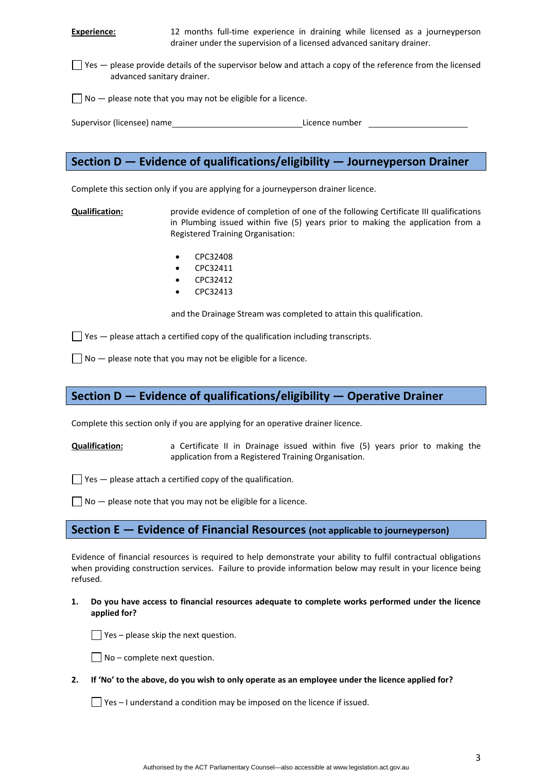**Experience:** 12 months full-time experience in draining while licensed as a journeyperson drainer under the supervision of a licensed advanced sanitary drainer.

 $\Box$  Yes  $-$  please provide details of the supervisor below and attach a copy of the reference from the licensed advanced sanitary drainer.

 $\Box$  No  $-$  please note that you may not be eligible for a licence.

Supervisor (licensee) name **business and the set of the set of the set of the set of the set of the set of the set of the set of the set of the set of the set of the set of the set of the set of the set of the set of the s** 

# **Section D — Evidence of qualifications/eligibility — Journeyperson Drainer**

Complete this section only if you are applying for a journeyperson drainer licence.

**Qualification:** provide evidence of completion of one of the following Certificate III qualifications in Plumbing issued within five (5) years prior to making the application from a Registered Training Organisation:

- CPC32408
- CPC32411
- CPC32412
- CPC32413

and the Drainage Stream was completed to attain this qualification.

 $\Box$  Yes  $-$  please attach a certified copy of the qualification including transcripts.

 $\Box$  No  $-$  please note that you may not be eligible for a licence.

# **Section D — Evidence of qualifications/eligibility — Operative Drainer**

Complete this section only if you are applying for an operative drainer licence.

**Qualification:** a Certificate II in Drainage issued within five (5) years prior to making the application from a Registered Training Organisation.

 $\Box$  Yes  $-$  please attach a certified copy of the qualification.

 $\Box$  No  $-$  please note that you may not be eligible for a licence.

## **Section E — Evidence of Financial Resources (not applicable to journeyperson)**

Evidence of financial resources is required to help demonstrate your ability to fulfil contractual obligations when providing construction services. Failure to provide information below may result in your licence being refused.

**1. Do you have access to financial resources adequate to complete works performed under the licence applied for?** 

 $\Box$  Yes – please skip the next question.



2. If 'No' to the above, do you wish to only operate as an employee under the licence applied for?

 $\Box$  Yes – I understand a condition may be imposed on the licence if issued.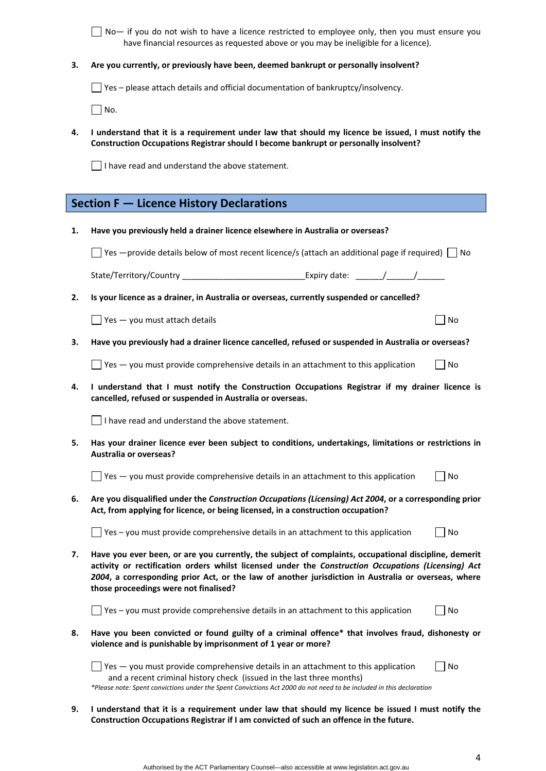| No — if you do not wish to have a licence restricted to employee only, then you must ensure you |  |
|-------------------------------------------------------------------------------------------------|--|
| have financial resources as requested above or you may be ineligible for a licence).            |  |

**3. Are you currently, or previously have been, deemed bankrupt or personally insolvent?** 

Yes – please attach details and official documentation of bankruptcy/insolvency.

 $\Box$  No.

4. I understand that it is a requirement under law that should my licence be issued, I must notify the **Construction Occupations Registrar should I become bankrupt or personally insolvent?** 

I have read and understand the above statement.

| 1. | Have you previously held a drainer licence elsewhere in Australia or overseas?                                                                                                                                                                                                                                                                               |  |
|----|--------------------------------------------------------------------------------------------------------------------------------------------------------------------------------------------------------------------------------------------------------------------------------------------------------------------------------------------------------------|--|
|    | Yes —provide details below of most recent licence/s (attach an additional page if required) $\Box$ No                                                                                                                                                                                                                                                        |  |
|    |                                                                                                                                                                                                                                                                                                                                                              |  |
| 2. | Is your licence as a drainer, in Australia or overseas, currently suspended or cancelled?                                                                                                                                                                                                                                                                    |  |
|    | Yes - you must attach details<br>No                                                                                                                                                                                                                                                                                                                          |  |
| з. | Have you previously had a drainer licence cancelled, refused or suspended in Australia or overseas?                                                                                                                                                                                                                                                          |  |
|    | Yes - you must provide comprehensive details in an attachment to this application<br>No                                                                                                                                                                                                                                                                      |  |
| 4. | I understand that I must notify the Construction Occupations Registrar if my drainer licence is<br>cancelled, refused or suspended in Australia or overseas.                                                                                                                                                                                                 |  |
|    | I have read and understand the above statement.                                                                                                                                                                                                                                                                                                              |  |
| 5. | Has your drainer licence ever been subject to conditions, undertakings, limitations or restrictions in<br><b>Australia or overseas?</b>                                                                                                                                                                                                                      |  |
|    | $\sqrt{2}$ Yes $-$ you must provide comprehensive details in an attachment to this application<br>No                                                                                                                                                                                                                                                         |  |
| 6. | Are you disqualified under the Construction Occupations (Licensing) Act 2004, or a corresponding prior<br>Act, from applying for licence, or being licensed, in a construction occupation?                                                                                                                                                                   |  |
|    | Yes - you must provide comprehensive details in an attachment to this application<br>No                                                                                                                                                                                                                                                                      |  |
| 7. | Have you ever been, or are you currently, the subject of complaints, occupational discipline, demerit<br>activity or rectification orders whilst licensed under the Construction Occupations (Licensing) Act<br>2004, a corresponding prior Act, or the law of another jurisdiction in Australia or overseas, where<br>those proceedings were not finalised? |  |
|    | Yes - you must provide comprehensive details in an attachment to this application<br>No                                                                                                                                                                                                                                                                      |  |
| ୪. | Have you been convicted or found guilty of a criminal offence* that involves fraud, dishonesty or<br>violence and is punishable by imprisonment of 1 year or more?                                                                                                                                                                                           |  |
|    | Yes - you must provide comprehensive details in an attachment to this application<br>No<br>and a recent criminal history check (issued in the last three months)<br>*Please note: Spent convictions under the Spent Convictions Act 2000 do not need to be included in this declaration                                                                      |  |
| 9. | I understand that it is a requirement under law that should my licence be issued I must notify the                                                                                                                                                                                                                                                           |  |

**Construction Occupations Registrar if I am convicted of such an offence in the future.**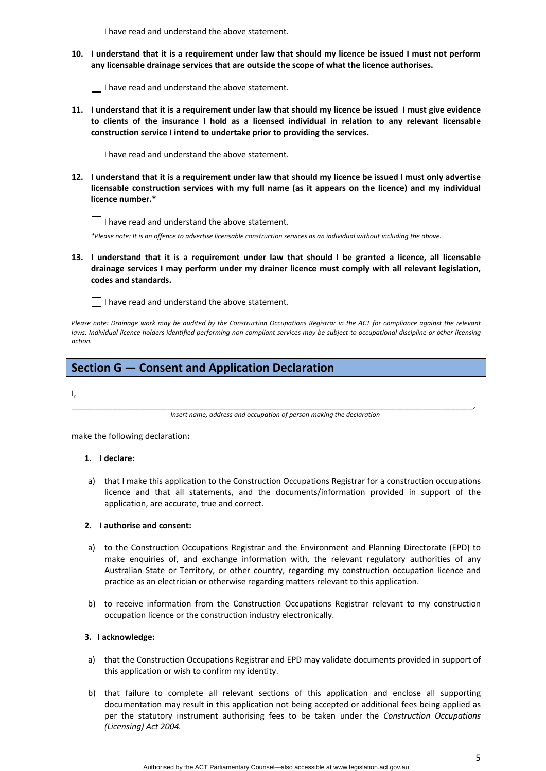|         | 10. I understand that it is a requirement under law that should my licence be issued I must not perform<br>any licensable drainage services that are outside the scope of what the licence authorises.                                                                                         |
|---------|------------------------------------------------------------------------------------------------------------------------------------------------------------------------------------------------------------------------------------------------------------------------------------------------|
|         | I have read and understand the above statement.                                                                                                                                                                                                                                                |
|         | 11. I understand that it is a requirement under law that should my licence be issued I must give evidence<br>to clients of the insurance I hold as a licensed individual in relation to any relevant licensable<br>construction service I intend to undertake prior to providing the services. |
|         | I have read and understand the above statement.                                                                                                                                                                                                                                                |
|         | 12. I understand that it is a requirement under law that should my licence be issued I must only advertise<br>licensable construction services with my full name (as it appears on the licence) and my individual<br>licence number.*                                                          |
|         | I have read and understand the above statement.                                                                                                                                                                                                                                                |
|         | *Please note: It is an offence to advertise licensable construction services as an individual without including the above.                                                                                                                                                                     |
|         | 13. I understand that it is a requirement under law that should I be granted a licence, all licensable<br>drainage services I may perform under my drainer licence must comply with all relevant legislation,<br>codes and standards.                                                          |
|         | I have read and understand the above statement.                                                                                                                                                                                                                                                |
| action. | Please note: Drainage work may be audited by the Construction Occupations Registrar in the ACT for compliance against the relevant<br>laws. Individual licence holders identified performing non-compliant services may be subject to occupational discipline or other licensing               |

# **Section G — Consent and Application Declaration**

 $\Box$  I have read and understand the above statement.

I,

\_\_\_\_\_\_\_\_\_\_\_\_\_\_\_\_\_\_\_\_\_\_\_\_\_\_\_\_\_\_\_\_\_\_\_\_\_\_\_\_\_\_\_\_\_\_\_\_\_\_\_\_\_\_\_\_\_\_\_\_\_\_\_\_\_\_\_\_\_\_\_\_\_\_\_\_\_\_\_\_\_\_\_\_\_\_\_\_, *Insert name, address and occupation of person making the declaration*

make the following declaration**:**

#### **1. I declare:**

a) that I make this application to the Construction Occupations Registrar for a construction occupations licence and that all statements, and the documents/information provided in support of the application, are accurate, true and correct.

#### **2. I authorise and consent:**

- a) to the Construction Occupations Registrar and the Environment and Planning Directorate (EPD) to make enquiries of, and exchange information with, the relevant regulatory authorities of any Australian State or Territory, or other country, regarding my construction occupation licence and practice as an electrician or otherwise regarding matters relevant to this application.
- b) to receive information from the Construction Occupations Registrar relevant to my construction occupation licence or the construction industry electronically.

### **3. I acknowledge:**

- a) that the Construction Occupations Registrar and EPD may validate documents provided in support of this application or wish to confirm my identity.
- b) that failure to complete all relevant sections of this application and enclose all supporting documentation may result in this application not being accepted or additional fees being applied as per the statutory instrument authorising fees to be taken under the *Construction Occupations (Licensing) Act 2004.*